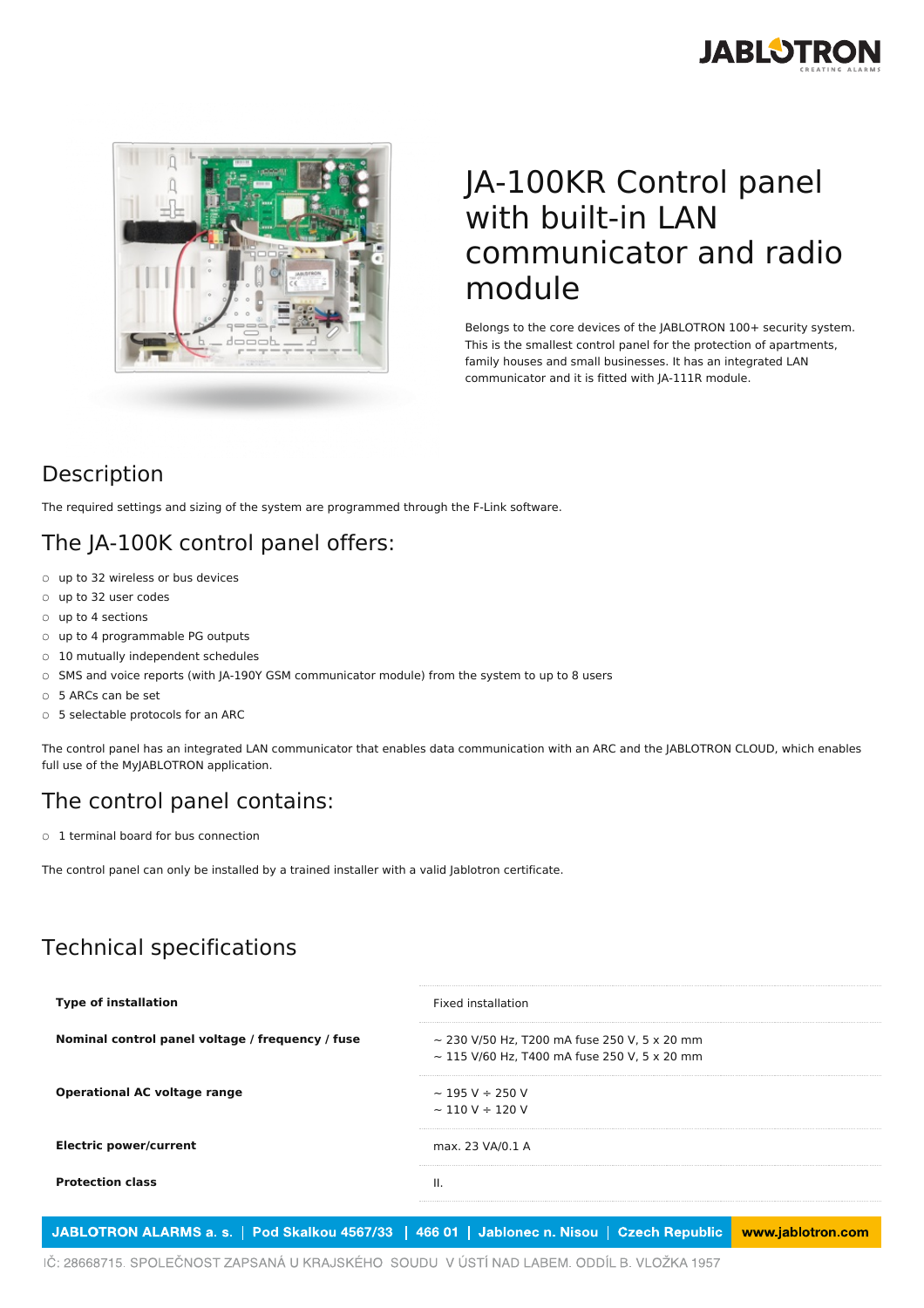



## JA-100KR Control panel with built-in LAN communicator and radio module

Belongs to the core devices of the JABLOTRON 100+ security system. This is the smallest control panel for the protection of apartments, family houses and small businesses. It has an integrated LAN communicator and it is fitted with JA-111R module.

#### Description

The required settings and sizing of the system are programmed through the F-Link software.

#### The JA-100K control panel offers:

- o up to 32 wireless or bus devices
- up to 32 user codes
- up to 4 sections
- up to 4 programmable PG outputs
- 10 mutually independent schedules
- SMS and voice reports (with JA-190Y GSM communicator module) from the system to up to 8 users
- 5 ARCs can be set
- 5 selectable protocols for an ARC

The control panel has an integrated LAN communicator that enables data communication with an ARC and the JABLOTRON CLOUD, which enables full use of the MyJABLOTRON application.

#### The control panel contains:

○ 1 terminal board for bus connection

The control panel can only be installed by a trained installer with a valid Jablotron certificate.

### Technical specifications

| <b>Type of installation</b>                      | Fixed installation                                                                                     |
|--------------------------------------------------|--------------------------------------------------------------------------------------------------------|
| Nominal control panel voltage / frequency / fuse | $\sim$ 230 V/50 Hz. T200 mA fuse 250 V. 5 x 20 mm<br>$\sim$ 115 V/60 Hz, T400 mA fuse 250 V, 5 x 20 mm |
| <b>Operational AC voltage range</b>              | $\sim$ 195 V $\div$ 250 V<br>$\sim$ 110 V ÷ 120 V                                                      |
| <b>Electric power/current</b>                    | max. 23 VA/0.1 A                                                                                       |
| <b>Protection class</b>                          | Ш.                                                                                                     |
|                                                  |                                                                                                        |

JABLOTRON ALARMS a. s. | Pod Skalkou 4567/33 | 466 01 | Jablonec n. Nisou | Czech Republic www.jablotron.com

IČ: 28668715. SPOLEČNOST ZAPSANÁ U KRAJSKÉHO SOUDU V ÚSTÍ NAD LABEM. ODDÍL B. VLOŽKA 1957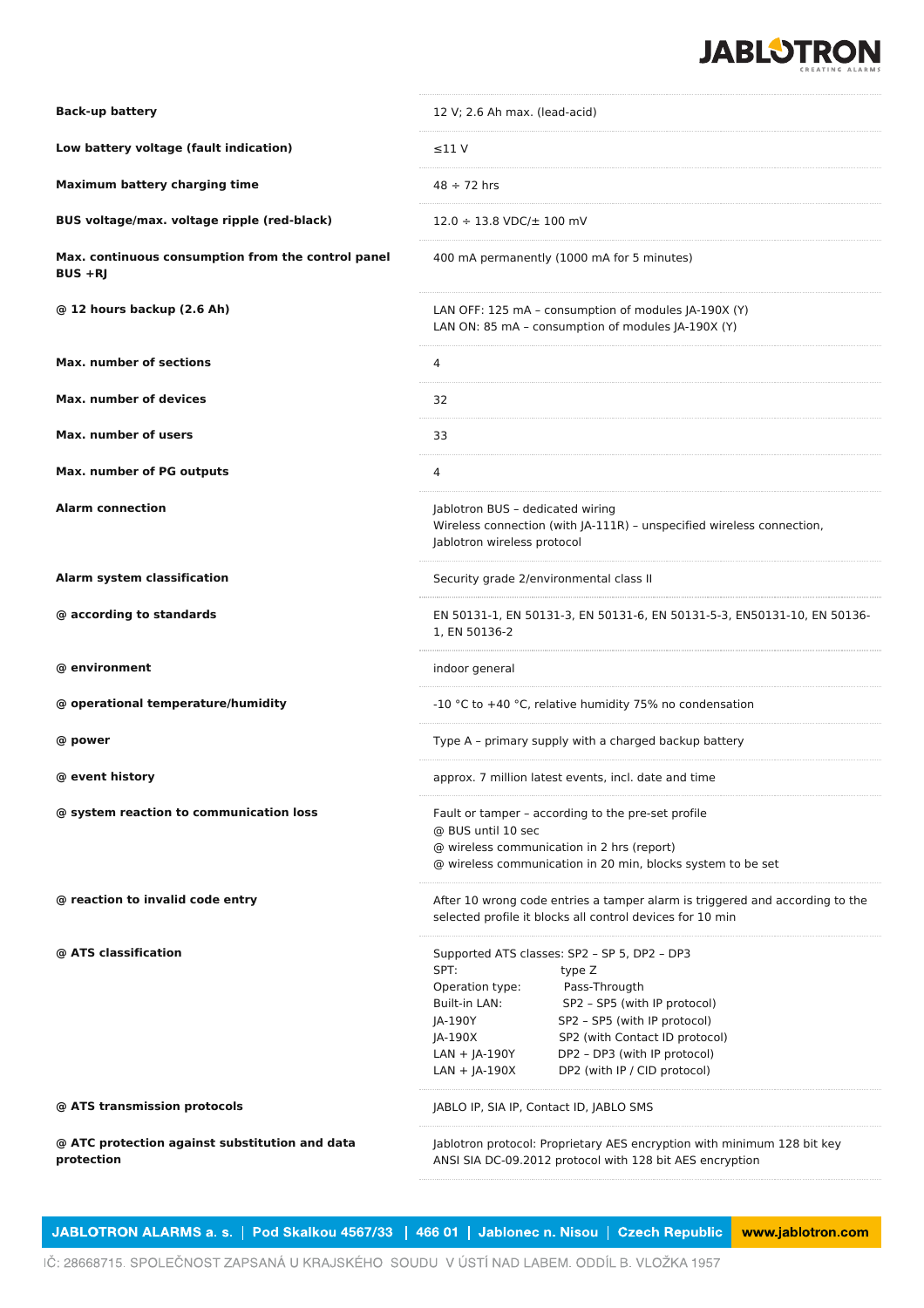

| <b>Back-up battery</b>                                           | 12 V; 2.6 Ah max. (lead-acid)                                                                                                                                                                                                                                                                                                                     |
|------------------------------------------------------------------|---------------------------------------------------------------------------------------------------------------------------------------------------------------------------------------------------------------------------------------------------------------------------------------------------------------------------------------------------|
| Low battery voltage (fault indication)                           | $\leq$ 11 V                                                                                                                                                                                                                                                                                                                                       |
| Maximum battery charging time                                    | $48 \div 72$ hrs                                                                                                                                                                                                                                                                                                                                  |
| BUS voltage/max. voltage ripple (red-black)                      | $12.0 \div 13.8 \text{ VDC}/\pm 100 \text{ mV}$                                                                                                                                                                                                                                                                                                   |
| Max. continuous consumption from the control panel<br>$BUS + RJ$ | 400 mA permanently (1000 mA for 5 minutes)                                                                                                                                                                                                                                                                                                        |
| @ 12 hours backup (2.6 Ah)                                       | LAN OFF: 125 mA - consumption of modules JA-190X (Y)<br>LAN ON: 85 mA - consumption of modules JA-190X (Y)                                                                                                                                                                                                                                        |
| <b>Max. number of sections</b>                                   | 4                                                                                                                                                                                                                                                                                                                                                 |
| Max. number of devices                                           | 32                                                                                                                                                                                                                                                                                                                                                |
| Max, number of users                                             | 33                                                                                                                                                                                                                                                                                                                                                |
| Max. number of PG outputs                                        | 4                                                                                                                                                                                                                                                                                                                                                 |
| <b>Alarm connection</b>                                          | Jablotron BUS - dedicated wiring<br>Wireless connection (with JA-111R) - unspecified wireless connection,<br>Jablotron wireless protocol                                                                                                                                                                                                          |
| Alarm system classification                                      | Security grade 2/environmental class II                                                                                                                                                                                                                                                                                                           |
| @ according to standards                                         | EN 50131-1, EN 50131-3, EN 50131-6, EN 50131-5-3, EN50131-10, EN 50136-<br>1, EN 50136-2                                                                                                                                                                                                                                                          |
| @ environment                                                    | indoor general                                                                                                                                                                                                                                                                                                                                    |
| @ operational temperature/humidity                               | -10 °C to +40 °C, relative humidity 75% no condensation                                                                                                                                                                                                                                                                                           |
| @ power                                                          | Type A - primary supply with a charged backup battery                                                                                                                                                                                                                                                                                             |
| @ event history                                                  | approx. 7 million latest events, incl. date and time                                                                                                                                                                                                                                                                                              |
| @ system reaction to communication loss                          | Fault or tamper - according to the pre-set profile<br>@ BUS until 10 sec<br>@ wireless communication in 2 hrs (report)<br>@ wireless communication in 20 min, blocks system to be set                                                                                                                                                             |
| @ reaction to invalid code entry                                 | After 10 wrong code entries a tamper alarm is triggered and according to the<br>selected profile it blocks all control devices for 10 min                                                                                                                                                                                                         |
| @ ATS classification                                             | Supported ATS classes: SP2 - SP 5, DP2 - DP3<br>SPT:<br>type Z<br>Operation type:<br>Pass-Througth<br>Built-in LAN:<br>SP2 - SP5 (with IP protocol)<br>SP2 - SP5 (with IP protocol)<br>JA-190Y<br>JA-190X<br>SP2 (with Contact ID protocol)<br>DP2 - DP3 (with IP protocol)<br>$LAN + JA-190Y$<br>$LAN + JA-190X$<br>DP2 (with IP / CID protocol) |
| @ ATS transmission protocols                                     | JABLO IP, SIA IP, Contact ID, JABLO SMS                                                                                                                                                                                                                                                                                                           |
|                                                                  |                                                                                                                                                                                                                                                                                                                                                   |
| @ ATC protection against substitution and data<br>protection     | Jablotron protocol: Proprietary AES encryption with minimum 128 bit key<br>ANSI SIA DC-09.2012 protocol with 128 bit AES encryption                                                                                                                                                                                                               |

JABLOTRON ALARMS a. s. | Pod Skalkou 4567/33 | 466 01 | Jablonec n. Nisou | Czech Republic www.jablotron.com